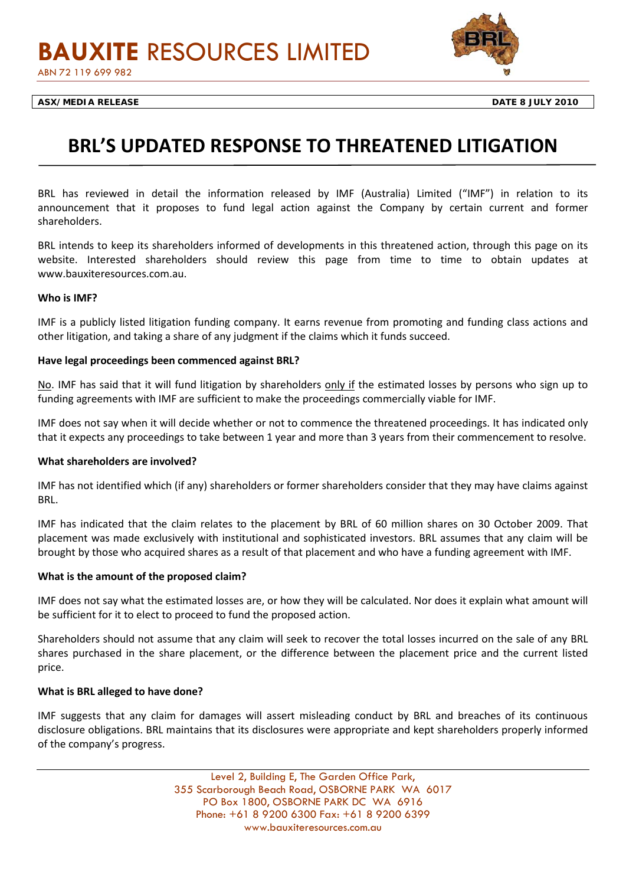

# **BRL'S UPDATED RESPONSE TO THREATENED LITIGATION**

BRL has reviewed in detail the information released by IMF (Australia) Limited ("IMF") in relation to its announcement that it proposes to fund legal action against the Company by certain current and former shareholders.

BRL intends to keep its shareholders informed of developments in this threatened action, through this page on its website. Interested shareholders should review this page from time to time to obtain updates at www.bauxiteresources.com.au.

## **Who is IMF?**

IMF is a publicly listed litigation funding company. It earns revenue from promoting and funding class actions and other litigation, and taking a share of any judgment if the claims which it funds succeed.

## **Have legal proceedings been commenced against BRL?**

No. IMF has said that it will fund litigation by shareholders only if the estimated losses by persons who sign up to funding agreements with IMF are sufficient to make the proceedings commercially viable for IMF.

IMF does not say when it will decide whether or not to commence the threatened proceedings. It has indicated only that it expects any proceedings to take between 1 year and more than 3 years from their commencement to resolve.

#### **What shareholders are involved?**

IMF has not identified which (if any) shareholders or former shareholders consider that they may have claims against BRL.

IMF has indicated that the claim relates to the placement by BRL of 60 million shares on 30 October 2009. That placement was made exclusively with institutional and sophisticated investors. BRL assumes that any claim will be brought by those who acquired shares as a result of that placement and who have a funding agreement with IMF.

#### **What is the amount of the proposed claim?**

IMF does not say what the estimated losses are, or how they will be calculated. Nor does it explain what amount will be sufficient for it to elect to proceed to fund the proposed action.

Shareholders should not assume that any claim will seek to recover the total losses incurred on the sale of any BRL shares purchased in the share placement, or the difference between the placement price and the current listed price.

# **What is BRL alleged to have done?**

IMF suggests that any claim for damages will assert misleading conduct by BRL and breaches of its continuous disclosure obligations. BRL maintains that its disclosures were appropriate and kept shareholders properly informed of the company's progress.

> Level 2, Building E, The Garden Office Park, 355 Scarborough Beach Road, OSBORNE PARK WA 6017 PO Box 1800, OSBORNE PARK DC WA 6916 Phone: +61 8 9200 6300 Fax: +61 8 9200 6399 www.bauxiteresources.com.au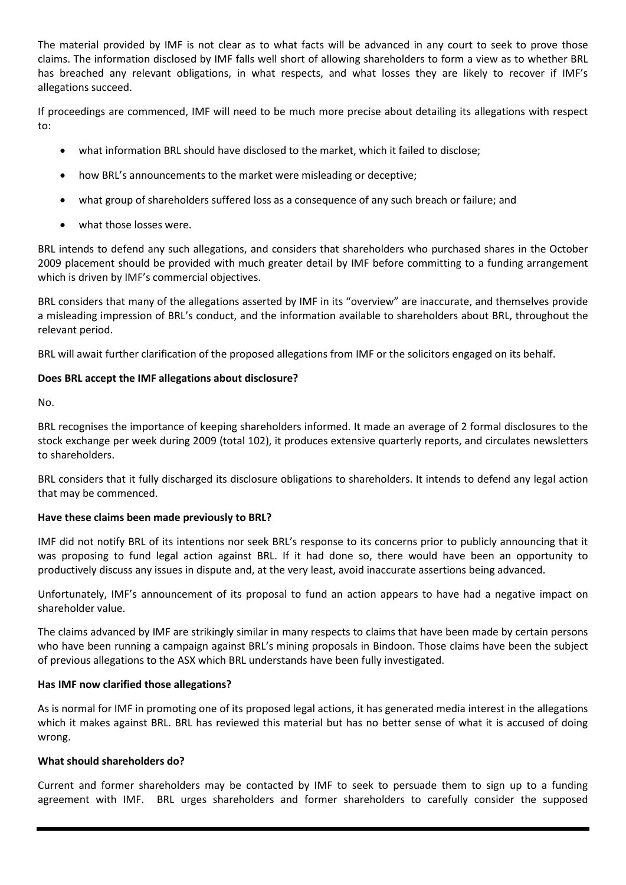The material provided by IMF is not clear as to what facts will be advanced in any court to seek to prove those claims. The information disclosed by IMF falls well short of allowing shareholders to form a view as to whether BRL has breached any relevant obligations, in what respects, and what losses they are likely to recover if IMF's allegations succeed.

If proceedings are commenced, IMF will need to be much more precise about detailing its allegations with respect to:

- what information BRL should have disclosed to the market, which it failed to disclose;
- how BRL's announcements to the market were misleading or deceptive;
- what group of shareholders suffered loss as a consequence of any such breach or failure; and
- what those losses were.

BRL intends to defend any such allegations, and considers that shareholders who purchased shares in the October 2009 placement should be provided with much greater detail by IMF before committing to a funding arrangement which is driven by IMF's commercial objectives.

BRL considers that many of the allegations asserted by IMF in its "overview" are inaccurate, and themselves provide a misleading impression of BRL's conduct, and the information available to shareholders about BRL, throughout the relevant period.

BRL will await further clarification of the proposed allegations from IMF or the solicitors engaged on its behalf.

# **Does BRL accept the IMF allegations about disclosure?**

No.

BRL recognises the importance of keeping shareholders informed. It made an average of 2 formal disclosures to the stock exchange per week during 2009 (total 102), it produces extensive quarterly reports, and circulates newsletters to shareholders.

BRL considers that it fully discharged its disclosure obligations to shareholders. It intends to defend any legal action that may be commenced.

# **Have these claims been made previously to BRL?**

IMF did not notify BRL of its intentions nor seek BRL's response to its concerns prior to publicly announcing that it was proposing to fund legal action against BRL. If it had done so, there would have been an opportunity to productively discuss any issues in dispute and, at the very least, avoid inaccurate assertions being advanced.

Unfortunately, IMF's announcement of its proposal to fund an action appears to have had a negative impact on shareholder value.

The claims advanced by IMF are strikingly similar in many respects to claims that have been made by certain persons who have been running a campaign against BRL's mining proposals in Bindoon. Those claims have been the subject of previous allegations to the ASX which BRL understands have been fully investigated.

# **Has IMF now clarified those allegations?**

As is normal for IMF in promoting one of its proposed legal actions, it has generated media interest in the allegations which it makes against BRL. BRL has reviewed this material but has no better sense of what it is accused of doing wrong.

# **What should shareholders do?**

Current and former shareholders may be contacted by IMF to seek to persuade them to sign up to a funding agreement with IMF. BRL urges shareholders and former shareholders to carefully consider the supposed